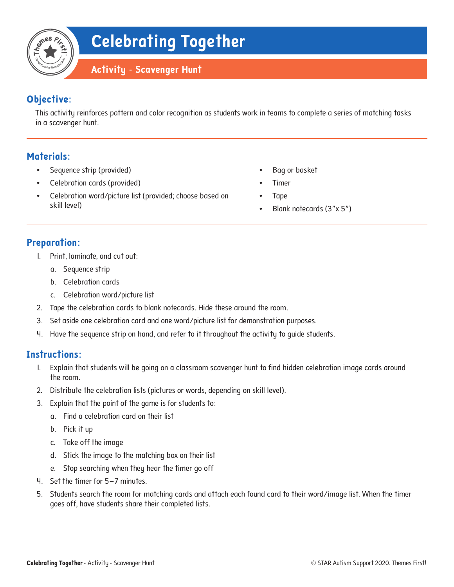## **Objective:**

This activity reinforces pattern and color recognition as students work in teams to complete a series of matching tasks in a scavenger hunt.

### **Materials:**

- Sequence strip (provided)
- Celebration cards (provided)
- Celebration word/picture list (provided; choose based on skill level)
- Bag or basket
- Timer
- Tape
- Blank notecards (3"x 5")

#### **Preparation:**

- 1. Print, laminate, and cut out:
	- a. Sequence strip
	- b. Celebration cards
	- c. Celebration word/picture list
- 2. Tape the celebration cards to blank notecards. Hide these around the room.
- 3. Set aside one celebration card and one word/picture list for demonstration purposes.
- 4. Have the sequence strip on hand, and refer to it throughout the activity to guide students.

#### **Instructions:**

- 1. Explain that students will be going on a classroom scavenger hunt to find hidden celebration image cards around the room.
- 2. Distribute the celebration lists (pictures or words, depending on skill level).
- 3. Explain that the point of the game is for students to:
	- a. Find a celebration card on their list
	- b. Pick it up
	- c. Take off the image
	- d. Stick the image to the matching box on their list
	- e. Stop searching when they hear the timer go off
- 4. Set the timer for 5–7 minutes.
- 5. Students search the room for matching cards and attach each found card to their word/image list. When the timer goes off, have students share their completed lists.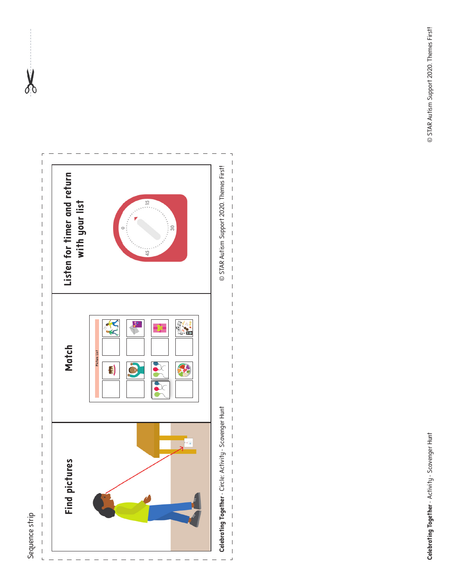

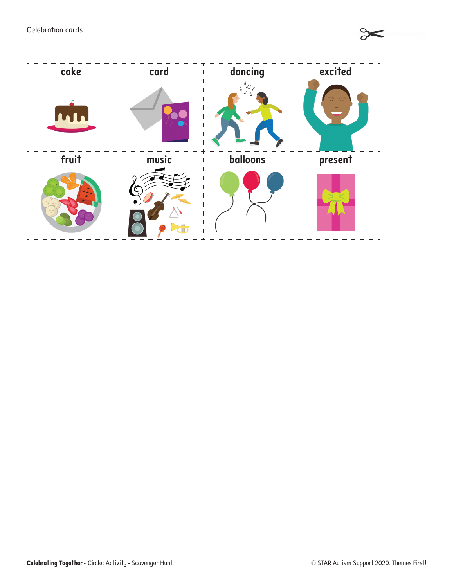Celebration cards



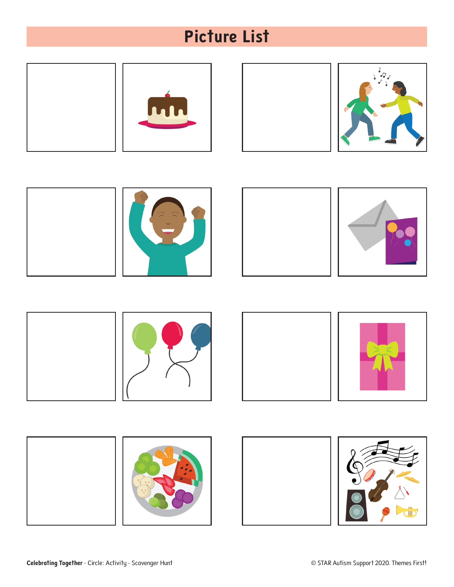# **Picture List**